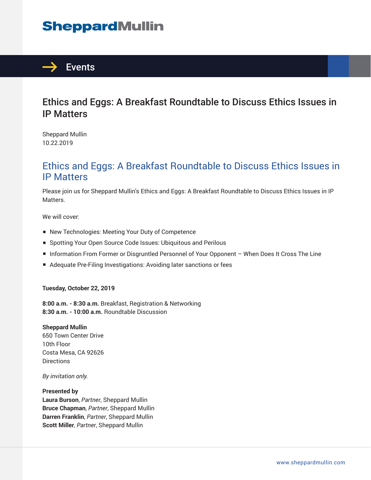# **SheppardMullin**



## Ethics and Eggs: A Breakfast Roundtable to Discuss Ethics Issues in IP Matters

Sheppard Mullin 10.22.2019

## Ethics and Eggs: A Breakfast Roundtable to Discuss Ethics Issues in IP Matters

Please join us for Sheppard Mullin's Ethics and Eggs: A Breakfast Roundtable to Discuss Ethics Issues in IP Matters.

We will cover:

- New Technologies: Meeting Your Duty of Competence
- Spotting Your Open Source Code Issues: Ubiquitous and Perilous
- Information From Former or Disgruntled Personnel of Your Opponent When Does It Cross The Line
- Adequate Pre-Filing Investigations: Avoiding later sanctions or fees

### **Tuesday, October 22, 2019**

**8:00 a.m. - 8:30 a.m.** Breakfast, Registration & Networking **8:30 a.m. - 10:00 a.m.** Roundtable Discussion

### **Sheppard Mullin**

650 Town Center Drive 10th Floor Costa Mesa, CA 92626 **Directions** 

*By invitation only.*

### **Presented by**

**Laura Burson**, *Partner*, Sheppard Mullin **Bruce Chapman**, *Partner*, Sheppard Mullin **Darren Franklin**, *Partner*, Sheppard Mullin **Scott Miller**, *Partner*, Sheppard Mullin